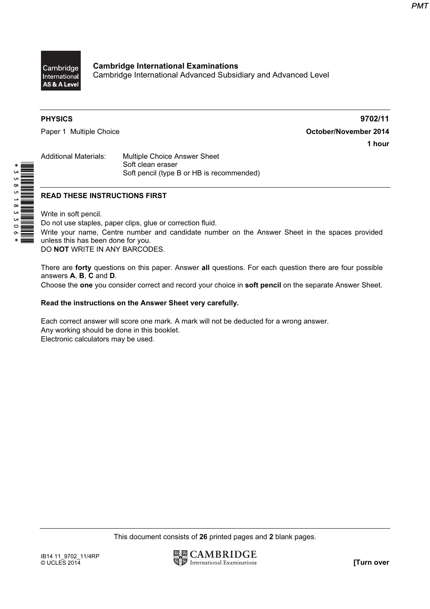

Cambridge International Examinations Cambridge International Advanced Subsidiary and Advanced Level

\*3585183306\*

PHYSICS 9702/11 Paper 1 Multiple Choice **October/November 2014** 1 hour

Additional Materials: Multiple Choice Answer Sheet Soft clean eraser Soft pencil (type B or HB is recommended)

## READ THESE INSTRUCTIONS FIRST

Write in soft pencil.

Do not use staples, paper clips, glue or correction fluid. Write your name, Centre number and candidate number on the Answer Sheet in the spaces provided unless this has been done for you. DO NOT WRITE IN ANY BARCODES.

There are **forty** questions on this paper. Answer all questions. For each question there are four possible answers A, B, C and D.

Choose the one you consider correct and record your choice in soft pencil on the separate Answer Sheet.

#### Read the instructions on the Answer Sheet very carefully.

Each correct answer will score one mark. A mark will not be deducted for a wrong answer. Any working should be done in this booklet. Electronic calculators may be used.

This document consists of 26 printed pages and 2 blank pages.

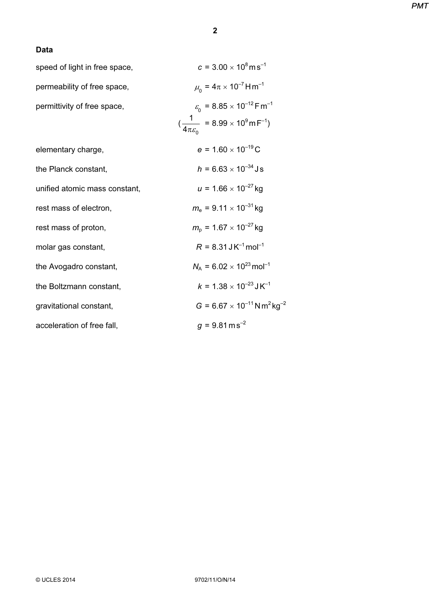#### Data

| speed of light in free space, | $c = 3.00 \times 10^8 \,\mathrm{m\,s}^{-1}$                                  |
|-------------------------------|------------------------------------------------------------------------------|
| permeability of free space,   | $\mu_{0} = 4\pi \times 10^{-7}$ H m <sup>-1</sup>                            |
| permittivity of free space,   | $\varepsilon_0$ = 8.85 × 10 <sup>-12</sup> F m <sup>-1</sup>                 |
|                               | $(\frac{1}{4\pi \varepsilon_0}$ = 8.99 × 10 <sup>9</sup> m F <sup>-1</sup> ) |
| elementary charge,            | $e = 1.60 \times 10^{-19}$ C                                                 |
| the Planck constant,          | $h = 6.63 \times 10^{-34}$ J s                                               |
| unified atomic mass constant, | $u = 1.66 \times 10^{-27}$ kg                                                |
| rest mass of electron,        | $m_e = 9.11 \times 10^{-31}$ kg                                              |
| rest mass of proton,          | $m_{\rm p}$ = 1.67 $\times$ 10 <sup>-27</sup> kg                             |
| molar gas constant,           | $R = 8.31$ J K <sup>-1</sup> mol <sup>-1</sup>                               |
| the Avogadro constant,        | $N_A = 6.02 \times 10^{23}$ mol <sup>-1</sup>                                |
| the Boltzmann constant,       | $k = 1.38 \times 10^{-23}$ J K <sup>-1</sup>                                 |
| gravitational constant,       | $G = 6.67 \times 10^{-11}$ N m <sup>2</sup> kg <sup>-2</sup>                 |
| acceleration of free fall,    | $q = 9.81 \text{ m s}^{-2}$                                                  |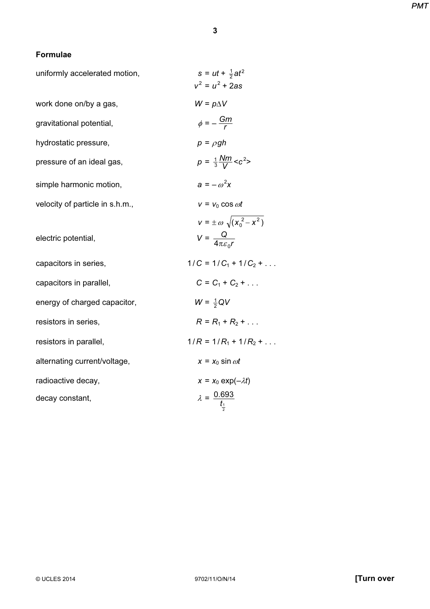# Formulae

| uniformly accelerated motion,   | $s = ut + \frac{1}{2}at^2$<br>$v^2 = u^2 + 2as$ |
|---------------------------------|-------------------------------------------------|
| work done on/by a gas,          | $W = p\Delta V$                                 |
| gravitational potential,        | $\phi = -\frac{Gm}{r}$                          |
| hydrostatic pressure,           | $p = \rho gh$                                   |
| pressure of an ideal gas,       | $p = \frac{1}{3} \frac{Nm}{V} < c^2$            |
| simple harmonic motion,         | $a = -\omega^2 x$                               |
| velocity of particle in s.h.m., | $v = v_0 \cos \omega t$                         |
|                                 | $v = \pm \omega \sqrt{(x_0^2 - x^2)}$           |
| electric potential,             | $V = \frac{Q}{4 \pi c r}$                       |
| capacitors in series,           | $1/C = 1/C_1 + 1/C_2 + $                        |
| capacitors in parallel,         | $C = C_1 + C_2 + $                              |
| energy of charged capacitor,    | $W = \frac{1}{2}QV$                             |
| resistors in series,            | $R = R_1 + R_2 + $                              |
| resistors in parallel,          | $1/R = 1/R_1 + 1/R_2 + $                        |
| alternating current/voltage,    | $x = x_0 \sin \omega t$                         |
| radioactive decay,              | $x = x_0 \exp(-\lambda t)$                      |
| decay constant,                 | $\lambda = \frac{0.693}{t_1}$                   |
|                                 |                                                 |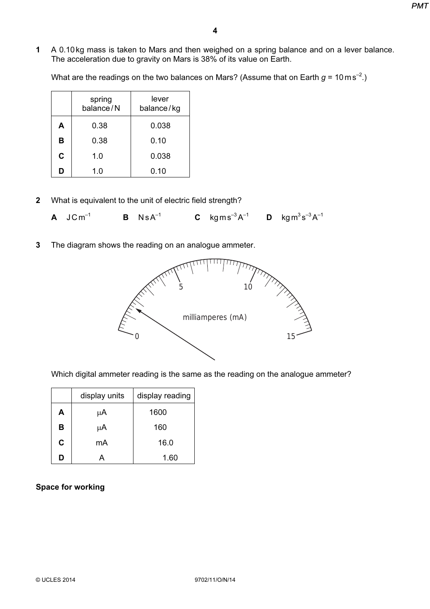1 A 0.10 kg mass is taken to Mars and then weighed on a spring balance and on a lever balance. The acceleration due to gravity on Mars is 38% of its value on Earth.

What are the readings on the two balances on Mars? (Assume that on Earth  $g = 10 \text{ m s}^{-2}$ .)

|   | spring<br>balance/N | lever<br>balance/kg |
|---|---------------------|---------------------|
| A | 0.38                | 0.038               |
| B | 0.38                | 0.10                |
| C | 1.0                 | 0.038               |
| D | 1.0                 | 0.10                |

2 What is equivalent to the unit of electric field strength?

**A** JCm<sup>-1</sup> **B** NsA<sup>-1</sup> **C** kgms<sup>-3</sup>A<sup>-1</sup> **D** kgm<sup>3</sup>s<sup>-3</sup>A<sup>-1</sup>

**3** The diagram shows the reading on an analogue ammeter.



Which digital ammeter reading is the same as the reading on the analogue ammeter?

|   | display units | display reading |
|---|---------------|-----------------|
| Α | μA            | 1600            |
| в | μA            | 160             |
| C | mA            | 16.0            |
| D |               | 1.60            |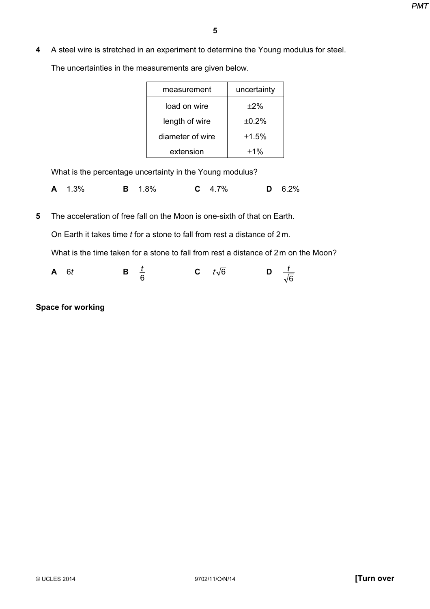4 A steel wire is stretched in an experiment to determine the Young modulus for steel.

The uncertainties in the measurements are given below.

| uncertainty |
|-------------|
|             |
| $\pm 2\%$   |
|             |
| $+0.2%$     |
| $+1.5%$     |
|             |
| $+1\%$      |
|             |

What is the percentage uncertainty in the Young modulus?

A 1.3% B 1.8% C 4.7% D 6.2%

5 The acceleration of free fall on the Moon is one-sixth of that on Earth.

On Earth it takes time t for a stone to fall from rest a distance of 2m.

What is the time taken for a stone to fall from rest a distance of 2m on the Moon?

| $A$ 6t | $\mathbf{B} \quad \frac{t}{t}$ |  | C $t\sqrt{6}$ |                               |  |
|--------|--------------------------------|--|---------------|-------------------------------|--|
|        |                                |  |               | <b>D</b> $\frac{t}{\sqrt{6}}$ |  |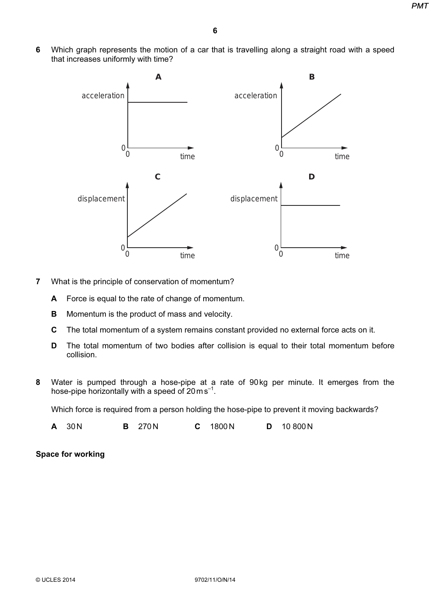6 Which graph represents the motion of a car that is travelling along a straight road with a speed that increases uniformly with time?



- 7 What is the principle of conservation of momentum?
	- A Force is equal to the rate of change of momentum.
	- **B** Momentum is the product of mass and velocity.
	- C The total momentum of a system remains constant provided no external force acts on it.
	- D The total momentum of two bodies after collision is equal to their total momentum before collision.
- 8 Water is pumped through a hose-pipe at a rate of 90kg per minute. It emerges from the hose-pipe horizontally with a speed of  $20 \text{ m s}^{-1}$ .

Which force is required from a person holding the hose-pipe to prevent it moving backwards?

A 30N B 270N C 1800N D 10 800N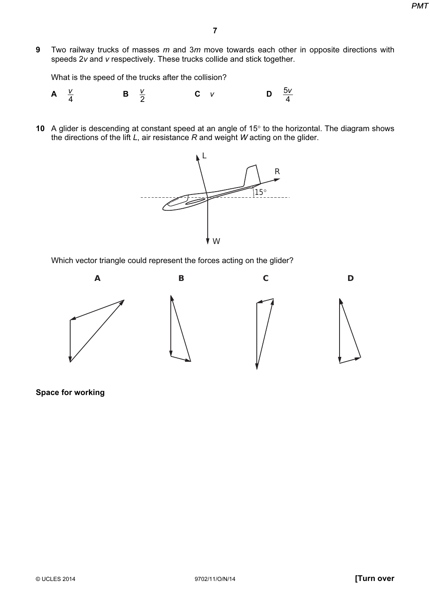9 Two railway trucks of masses  $m$  and  $3m$  move towards each other in opposite directions with speeds 2v and v respectively. These trucks collide and stick together.

What is the speed of the trucks after the collision?

- A  $\frac{V}{4}$ **B**  $\frac{V}{2}$  $C$  v **D**  $\frac{5v}{4}$
- 10 A glider is descending at constant speed at an angle of 15° to the horizontal. The diagram shows the directions of the lift  $L$ , air resistance  $R$  and weight  $W$  acting on the glider.



Which vector triangle could represent the forces acting on the glider?

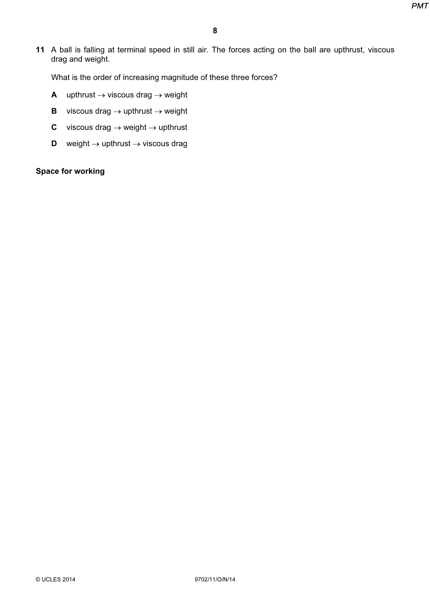11 A ball is falling at terminal speed in still air. The forces acting on the ball are upthrust, viscous drag and weight.

What is the order of increasing magnitude of these three forces?

- A upthrust  $\rightarrow$  viscous drag  $\rightarrow$  weight
- **B** viscous drag  $\rightarrow$  upthrust  $\rightarrow$  weight
- C viscous drag  $\rightarrow$  weight  $\rightarrow$  upthrust
- **D** weight  $\rightarrow$  upthrust  $\rightarrow$  viscous drag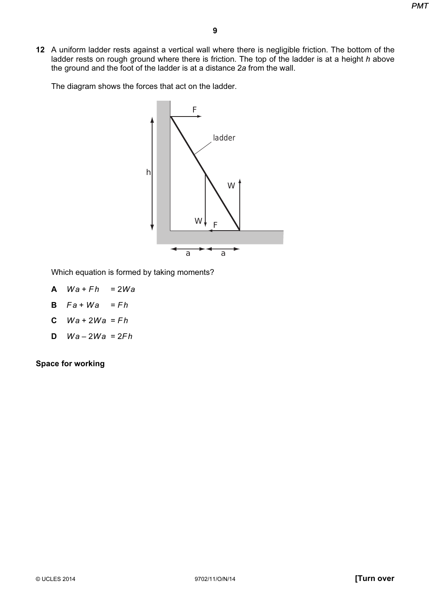12 A uniform ladder rests against a vertical wall where there is negligible friction. The bottom of the ladder rests on rough ground where there is friction. The top of the ladder is at a height h above the ground and the foot of the ladder is at a distance 2a from the wall.

The diagram shows the forces that act on the ladder.



Which equation is formed by taking moments?

- A  $Wa$  +  $Fh$  = 2Wa
- $B$   $Fa + Wa = Fh$
- C  $Wa + 2Wa = Fh$
- D  $Wa 2Wa = 2Fh$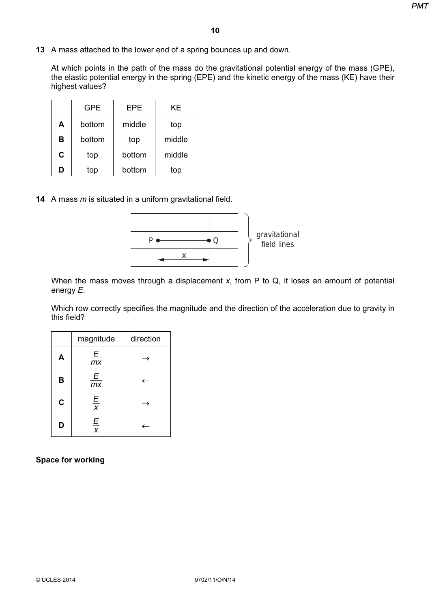13 A mass attached to the lower end of a spring bounces up and down.

At which points in the path of the mass do the gravitational potential energy of the mass (GPE), the elastic potential energy in the spring (EPE) and the kinetic energy of the mass (KE) have their highest values?

|   | <b>GPE</b> | EPE    | ΚE     |
|---|------------|--------|--------|
| Α | bottom     | middle | top    |
| в | bottom     | top    | middle |
| С | top        | bottom | middle |
| D | top        | bottom | top    |

14 A mass  $m$  is situated in a uniform gravitational field.



When the mass moves through a displacement x, from P to Q, it loses an amount of potential energy E.

Which row correctly specifies the magnitude and the direction of the acceleration due to gravity in this field?

|             | magnitude           | direction |
|-------------|---------------------|-----------|
| A           | Ε<br>mx             |           |
| B           | E<br>mx             |           |
| $\mathbf c$ | $\frac{E}{x}$       |           |
| D           | E<br>$\overline{x}$ |           |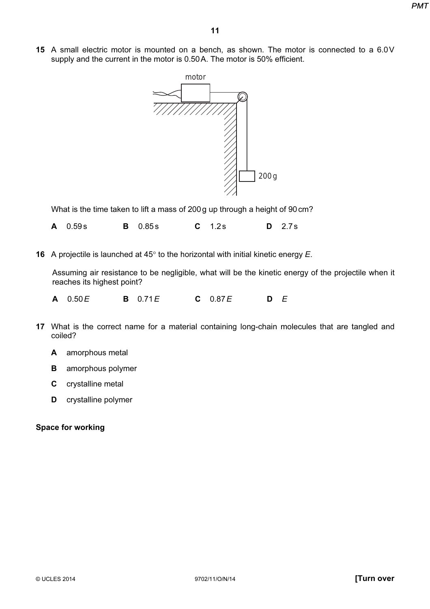15 A small electric motor is mounted on a bench, as shown. The motor is connected to a 6.0V supply and the current in the motor is 0.50A. The motor is 50% efficient.



What is the time taken to lift a mass of 200g up through a height of 90cm?

A 0.59s B 0.85s C 1.2s D 2.7s

16 A projectile is launched at  $45^{\circ}$  to the horizontal with initial kinetic energy E.

Assuming air resistance to be negligible, what will be the kinetic energy of the projectile when it reaches its highest point?

A 0.50E B 0.71E C 0.87E D E

- 17 What is the correct name for a material containing long-chain molecules that are tangled and coiled?
	- A amorphous metal
	- B amorphous polymer
	- C crystalline metal
	- D crystalline polymer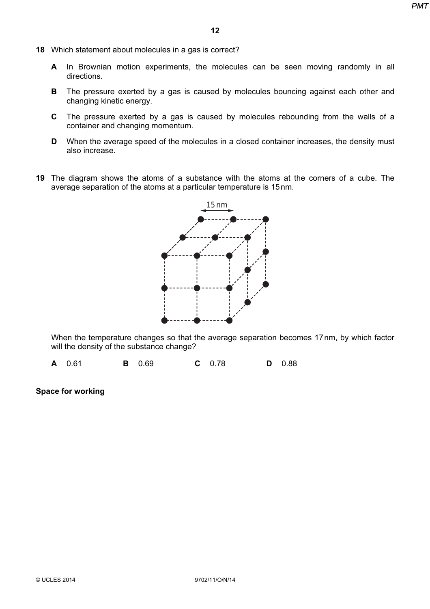- 18 Which statement about molecules in a gas is correct?
	- A In Brownian motion experiments, the molecules can be seen moving randomly in all directions.
	- **B** The pressure exerted by a gas is caused by molecules bouncing against each other and changing kinetic energy.
	- C The pressure exerted by a gas is caused by molecules rebounding from the walls of a container and changing momentum.
	- D When the average speed of the molecules in a closed container increases, the density must also increase.
- 19 The diagram shows the atoms of a substance with the atoms at the corners of a cube. The average separation of the atoms at a particular temperature is 15nm.



When the temperature changes so that the average separation becomes 17nm, by which factor will the density of the substance change?

A 0.61 B 0.69 C 0.78 D 0.88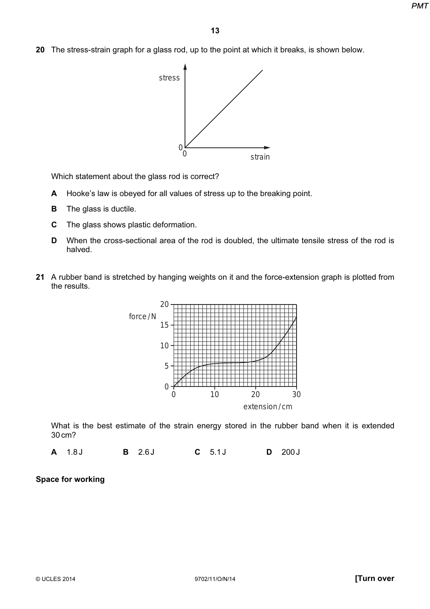20 The stress-strain graph for a glass rod, up to the point at which it breaks, is shown below.



Which statement about the glass rod is correct?

- A Hooke's law is obeyed for all values of stress up to the breaking point.
- **B** The glass is ductile.
- C The glass shows plastic deformation.
- D When the cross-sectional area of the rod is doubled, the ultimate tensile stress of the rod is halved.
- 21 A rubber band is stretched by hanging weights on it and the force-extension graph is plotted from the results.



What is the best estimate of the strain energy stored in the rubber band when it is extended 30cm?

**A** 1.8J **B** 2.6J **C** 5.1J **D** 200J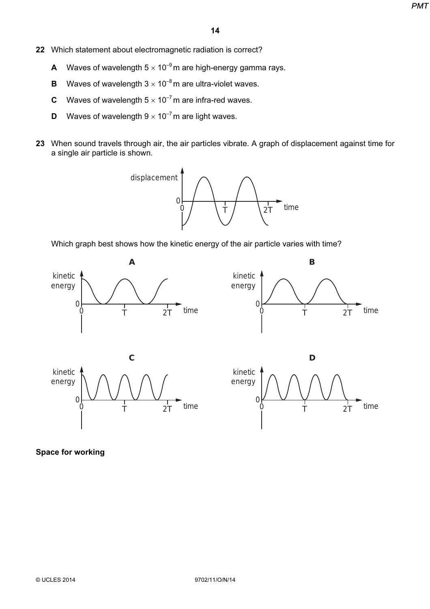- 22 Which statement about electromagnetic radiation is correct?
	- A Waves of wavelength  $5 \times 10^{-9}$  m are high-energy gamma rays.
	- **B** Waves of wavelength  $3 \times 10^{-8}$  m are ultra-violet waves.
	- **C** Waves of wavelength  $5 \times 10^{-7}$  m are infra-red waves.
	- **D** Waves of wavelength  $9 \times 10^{-7}$  m are light waves.
- 23 When sound travels through air, the air particles vibrate. A graph of displacement against time for a single air particle is shown.



Which graph best shows how the kinetic energy of the air particle varies with time?

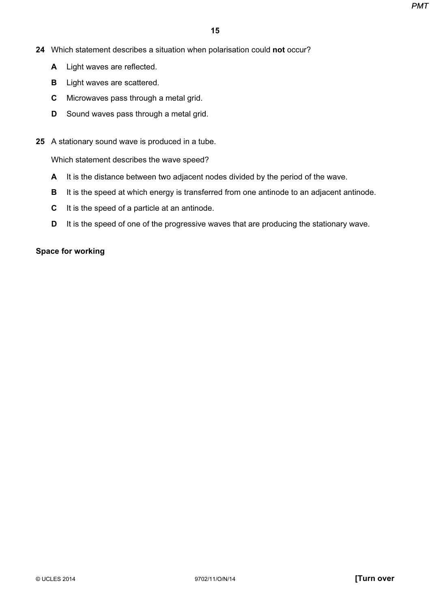- 24 Which statement describes a situation when polarisation could not occur?
	- A Light waves are reflected.
	- **B** Light waves are scattered.
	- C Microwaves pass through a metal grid.
	- **D** Sound waves pass through a metal grid.
- 25 A stationary sound wave is produced in a tube.

Which statement describes the wave speed?

- A It is the distance between two adjacent nodes divided by the period of the wave.
- B It is the speed at which energy is transferred from one antinode to an adjacent antinode.
- C It is the speed of a particle at an antinode.
- D It is the speed of one of the progressive waves that are producing the stationary wave.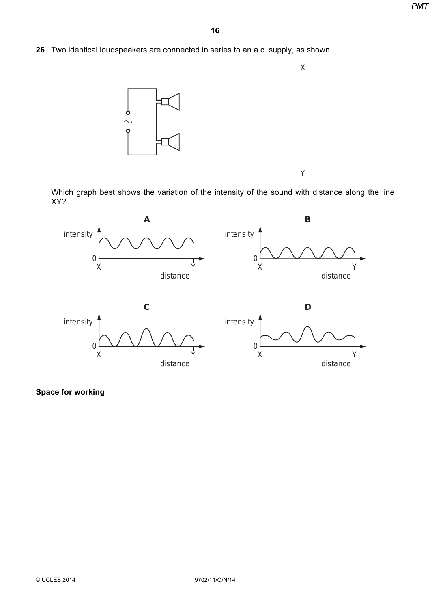26 Two identical loudspeakers are connected in series to an a.c. supply, as shown.



Which graph best shows the variation of the intensity of the sound with distance along the line XY?

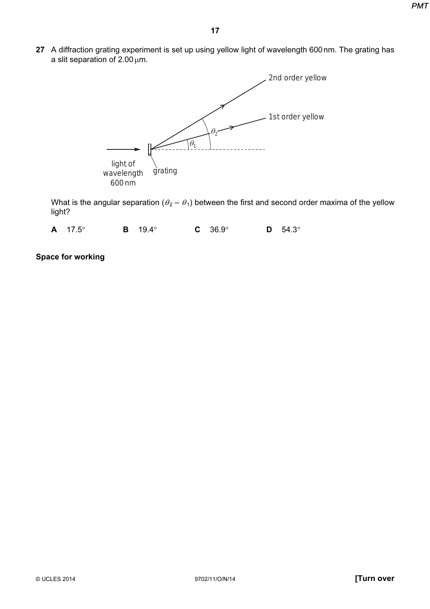27 A diffraction grating experiment is set up using yellow light of wavelength 600 nm. The grating has a slit separation of  $2.00 \mu m$ .



What is the angular separation ( $\theta_2 - \theta_1$ ) between the first and second order maxima of the yellow light?

| $A$ 17.5° | <b>B</b> 19.4 $^{\circ}$ | $C$ 36.9 $^{\circ}$ | $D$ 54.3° |
|-----------|--------------------------|---------------------|-----------|
|           |                          |                     |           |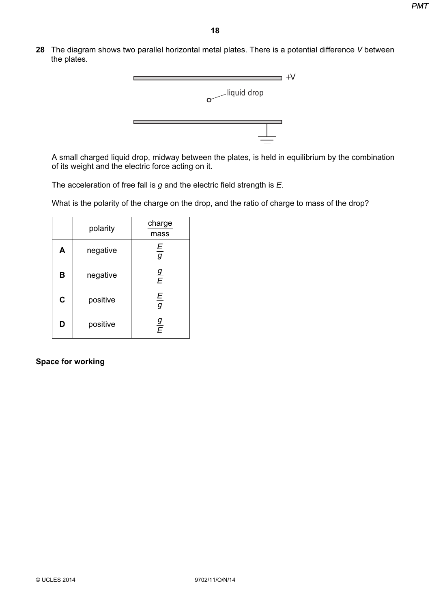28 The diagram shows two parallel horizontal metal plates. There is a potential difference V between the plates.



A small charged liquid drop, midway between the plates, is held in equilibrium by the combination of its weight and the electric force acting on it.

The acceleration of free fall is  $g$  and the electric field strength is  $E$ .

What is the polarity of the charge on the drop, and the ratio of charge to mass of the drop?

|   | polarity | charge<br>mass |
|---|----------|----------------|
| A | negative | $\frac{E}{g}$  |
| B | negative | $\frac{g}{E}$  |
| C | positive | E<br>g         |
| D | positive | $\frac{g}{E}$  |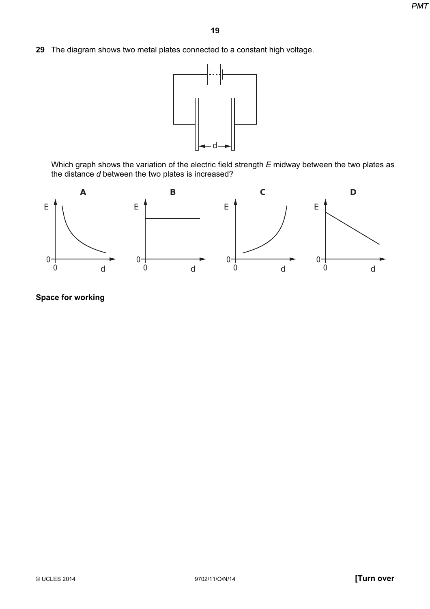29 The diagram shows two metal plates connected to a constant high voltage.



Which graph shows the variation of the electric field strength E midway between the two plates as the distance d between the two plates is increased?

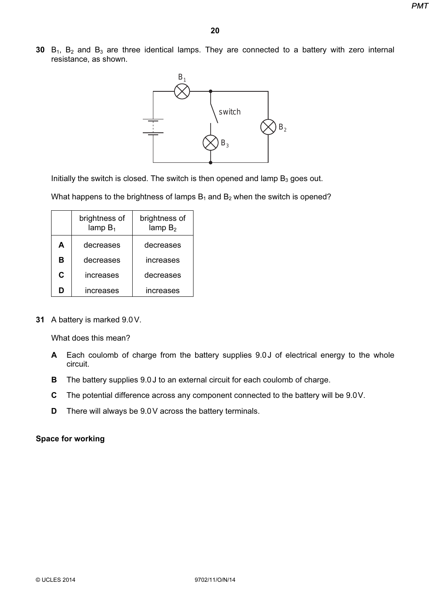30  $B_1$ ,  $B_2$  and  $B_3$  are three identical lamps. They are connected to a battery with zero internal resistance, as shown.



Initially the switch is closed. The switch is then opened and lamp  $B_3$  goes out.

What happens to the brightness of lamps  $B_1$  and  $B_2$  when the switch is opened?

|   | brightness of<br>lamp $B_1$ | brightness of<br>lamp $B_2$ |
|---|-----------------------------|-----------------------------|
| А | decreases                   | decreases                   |
| в | decreases                   | increases                   |
| C | increases                   | decreases                   |
|   | increases                   | increases                   |

31 A battery is marked 9.0V.

What does this mean?

- A Each coulomb of charge from the battery supplies 9.0J of electrical energy to the whole circuit.
- B The battery supplies 9.0J to an external circuit for each coulomb of charge.
- C The potential difference across any component connected to the battery will be 9.0V.
- D There will always be 9.0V across the battery terminals.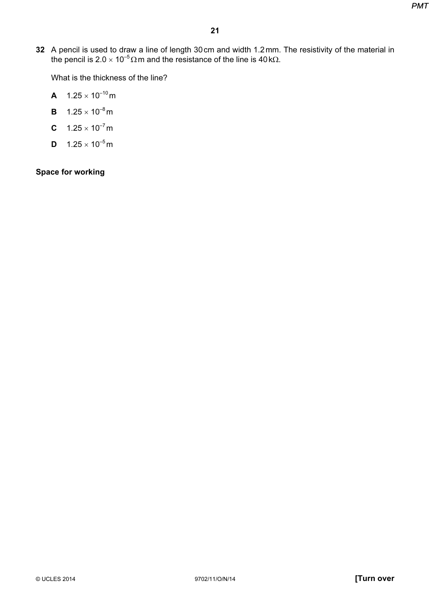32 A pencil is used to draw a line of length 30 cm and width 1.2 mm. The resistivity of the material in the pencil is 2.0  $\times$  10<sup>-5</sup> Ωm and the resistance of the line is 40 kΩ.

What is the thickness of the line?

- **A**  $1.25 \times 10^{-10}$  m
- **B**  $1.25 \times 10^{-8}$  m
- **C**  $1.25 \times 10^{-7}$  m
- **D**  $1.25 \times 10^{-5}$  m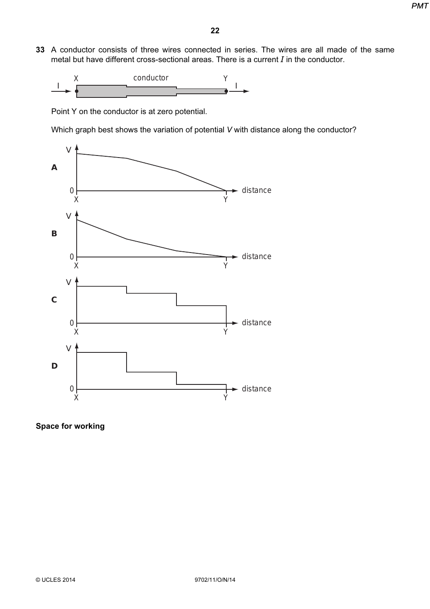33 A conductor consists of three wires connected in series. The wires are all made of the same metal but have different cross-sectional areas. There is a current  $I$  in the conductor.



Point Y on the conductor is at zero potential.

Which graph best shows the variation of potential V with distance along the conductor?

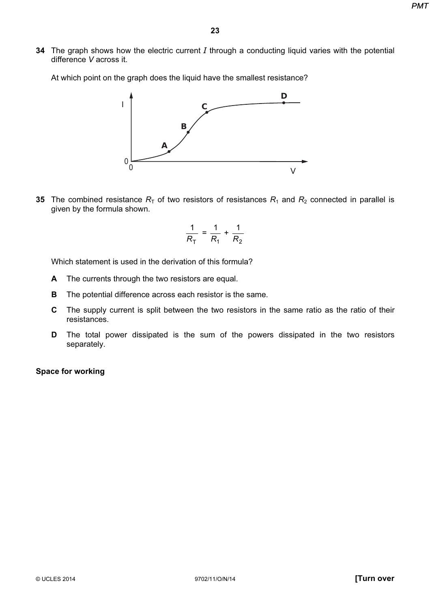34 The graph shows how the electric current  $I$  through a conducting liquid varies with the potential difference V across it.

At which point on the graph does the liquid have the smallest resistance?



35 The combined resistance  $R<sub>T</sub>$  of two resistors of resistances  $R<sub>1</sub>$  and  $R<sub>2</sub>$  connected in parallel is given by the formula shown.

$$
\frac{1}{R_{\rm T}} = \frac{1}{R_1} + \frac{1}{R_2}
$$

Which statement is used in the derivation of this formula?

- A The currents through the two resistors are equal.
- **B** The potential difference across each resistor is the same.
- C The supply current is split between the two resistors in the same ratio as the ratio of their resistances.
- D The total power dissipated is the sum of the powers dissipated in the two resistors separately.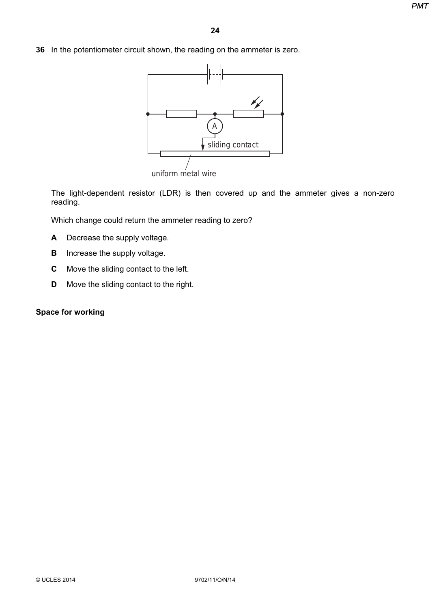36 In the potentiometer circuit shown, the reading on the ammeter is zero.



The light-dependent resistor (LDR) is then covered up and the ammeter gives a non-zero reading.

Which change could return the ammeter reading to zero?

- A Decrease the supply voltage.
- **B** Increase the supply voltage.
- C Move the sliding contact to the left.
- **D** Move the sliding contact to the right.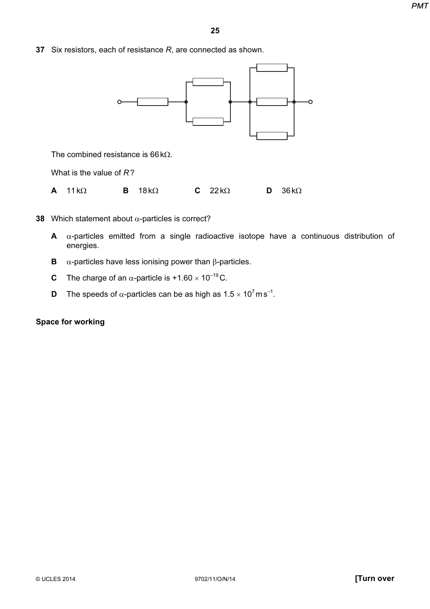37 Six resistors, each of resistance  $R$ , are connected as shown.



The combined resistance is 66 k $\Omega$ .

What is the value of  $R$ ?

A 11kΩ B 18kΩ C 22kΩ D 36kΩ

- 38 Which statement about  $\alpha$ -particles is correct?
	- **A**  $\alpha$ -particles emitted from a single radioactive isotope have a continuous distribution of energies.
	- **B**  $\alpha$ -particles have less ionising power than β-particles.
	- **C** The charge of an  $\alpha$ -particle is +1.60  $\times$  10<sup>-19</sup> C.
	- **D** The speeds of  $\alpha$ -particles can be as high as  $1.5 \times 10^7$  m s<sup>-1</sup>.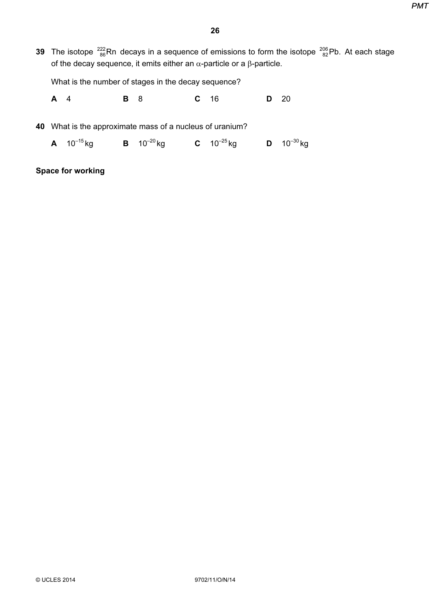39 The isotope  $^{222}_{86}$ Rn decays in a sequence of emissions to form the isotope  $^{206}_{82}$ Pb. At each stage of the decay sequence, it emits either an  $\alpha$ -particle or a β-particle.

What is the number of stages in the decay sequence?

**A 4 B 8 C 16 D 20** 

40 What is the approximate mass of a nucleus of uranium?

**A**  $10^{-15}$ kg **B**  $10^{-20}$ kg **C**  $10^{-25}$ kg **D**  $10^{-30}$ kg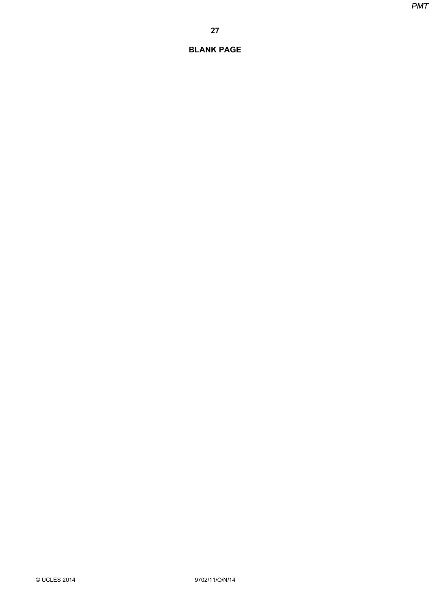# BLANK PAGE